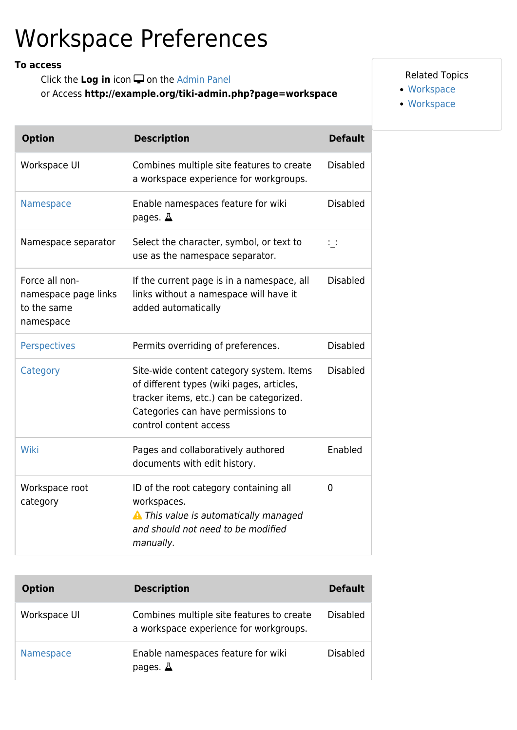## Workspace Preferences

## **To access**

Click the Log in icon  $\Box$  on the [Admin Panel](https://doc.tiki.org/Admin-Panels) or Access **http://example.org/tiki-admin.php?page=workspace**

## Related Topics

- [Workspace](https://doc.tiki.org/Workspace)
- [Workspace](http://dev.tiki.org/Workspace)

| <b>Option</b>                                                      | <b>Description</b>                                                                                                                                                                                | <b>Default</b>  |
|--------------------------------------------------------------------|---------------------------------------------------------------------------------------------------------------------------------------------------------------------------------------------------|-----------------|
| Workspace UI                                                       | Combines multiple site features to create<br>a workspace experience for workgroups.                                                                                                               | <b>Disabled</b> |
| Namespace                                                          | Enable namespaces feature for wiki<br>pages. $\Delta$                                                                                                                                             | <b>Disabled</b> |
| Namespace separator                                                | Select the character, symbol, or text to<br>use as the namespace separator.                                                                                                                       | $\mathbb{Z}$    |
| Force all non-<br>namespace page links<br>to the same<br>namespace | If the current page is in a namespace, all<br>links without a namespace will have it<br>added automatically                                                                                       | <b>Disabled</b> |
| <b>Perspectives</b>                                                | Permits overriding of preferences.                                                                                                                                                                | <b>Disabled</b> |
| Category                                                           | Site-wide content category system. Items<br>of different types (wiki pages, articles,<br>tracker items, etc.) can be categorized.<br>Categories can have permissions to<br>control content access | <b>Disabled</b> |
| Wiki                                                               | Pages and collaboratively authored<br>documents with edit history.                                                                                                                                | Enabled         |
| Workspace root<br>category                                         | ID of the root category containing all<br>workspaces.<br>A This value is automatically managed<br>and should not need to be modified<br>manually.                                                 | 0               |

| <b>Option</b> | <b>Description</b>                                                                  | <b>Default</b>  |
|---------------|-------------------------------------------------------------------------------------|-----------------|
| Workspace UI  | Combines multiple site features to create<br>a workspace experience for workgroups. | <b>Disabled</b> |
| Namespace     | Enable namespaces feature for wiki<br>pages. $\Delta$                               | Disabled        |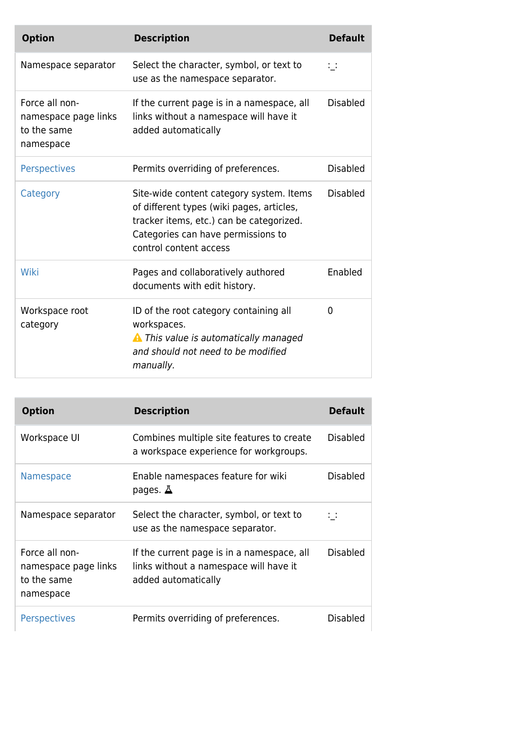| <b>Option</b>                                                      | <b>Description</b>                                                                                                                                                                                | <b>Default</b>  |
|--------------------------------------------------------------------|---------------------------------------------------------------------------------------------------------------------------------------------------------------------------------------------------|-----------------|
| Namespace separator                                                | Select the character, symbol, or text to<br>use as the namespace separator.                                                                                                                       | 14              |
| Force all non-<br>namespace page links<br>to the same<br>namespace | If the current page is in a namespace, all<br>links without a namespace will have it<br>added automatically                                                                                       | <b>Disabled</b> |
| <b>Perspectives</b>                                                | Permits overriding of preferences.                                                                                                                                                                | <b>Disabled</b> |
| Category                                                           | Site-wide content category system. Items<br>of different types (wiki pages, articles,<br>tracker items, etc.) can be categorized.<br>Categories can have permissions to<br>control content access | <b>Disabled</b> |
| Wiki                                                               | Pages and collaboratively authored<br>documents with edit history.                                                                                                                                | Enabled         |
| Workspace root<br>category                                         | ID of the root category containing all<br>workspaces.<br>A This value is automatically managed<br>and should not need to be modified<br>manually.                                                 | 0               |

| <b>Option</b>                                                      | <b>Description</b>                                                                                          | <b>Default</b>  |
|--------------------------------------------------------------------|-------------------------------------------------------------------------------------------------------------|-----------------|
| Workspace UI                                                       | Combines multiple site features to create<br>a workspace experience for workgroups.                         | Disabled        |
| <b>Namespace</b>                                                   | Enable namespaces feature for wiki<br>pages. $\Delta$                                                       | <b>Disabled</b> |
| Namespace separator                                                | Select the character, symbol, or text to<br>use as the namespace separator.                                 | $\mathcal{L}$   |
| Force all non-<br>namespace page links<br>to the same<br>namespace | If the current page is in a namespace, all<br>links without a namespace will have it<br>added automatically | <b>Disabled</b> |
| <b>Perspectives</b>                                                | Permits overriding of preferences.                                                                          | Disabled        |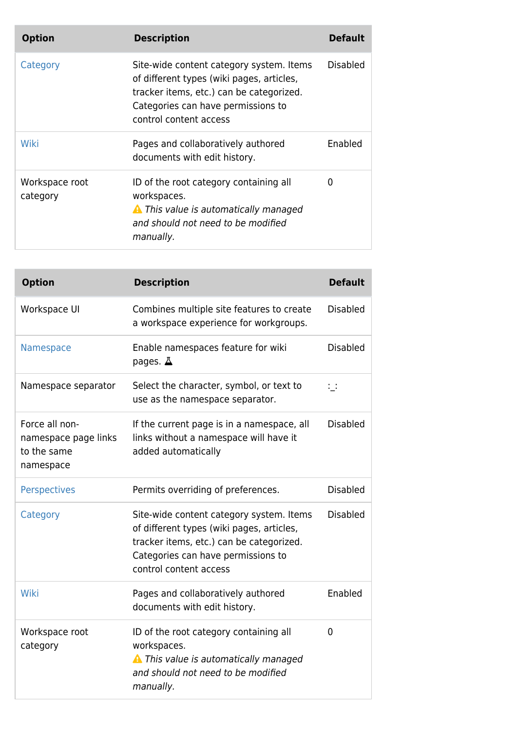| <b>Option</b>              | <b>Description</b>                                                                                                                                                                                | <b>Default</b> |
|----------------------------|---------------------------------------------------------------------------------------------------------------------------------------------------------------------------------------------------|----------------|
| Category                   | Site-wide content category system. Items<br>of different types (wiki pages, articles,<br>tracker items, etc.) can be categorized.<br>Categories can have permissions to<br>control content access | Disabled       |
| Wiki                       | Pages and collaboratively authored<br>documents with edit history.                                                                                                                                | <b>Fnabled</b> |
| Workspace root<br>category | ID of the root category containing all<br>workspaces.<br><b>A</b> This value is automatically managed<br>and should not need to be modified<br>manually.                                          | 0              |

| <b>Option</b>                                                      | <b>Description</b>                                                                                                                                                                                | <b>Default</b>  |
|--------------------------------------------------------------------|---------------------------------------------------------------------------------------------------------------------------------------------------------------------------------------------------|-----------------|
| Workspace UI                                                       | Combines multiple site features to create<br>a workspace experience for workgroups.                                                                                                               | <b>Disabled</b> |
| Namespace                                                          | Enable namespaces feature for wiki<br>pages. $\Delta$                                                                                                                                             | <b>Disabled</b> |
| Namespace separator                                                | Select the character, symbol, or text to<br>use as the namespace separator.                                                                                                                       | $\Box$          |
| Force all non-<br>namespace page links<br>to the same<br>namespace | If the current page is in a namespace, all<br>links without a namespace will have it<br>added automatically                                                                                       | <b>Disabled</b> |
| <b>Perspectives</b>                                                | Permits overriding of preferences.                                                                                                                                                                | <b>Disabled</b> |
| Category                                                           | Site-wide content category system. Items<br>of different types (wiki pages, articles,<br>tracker items, etc.) can be categorized.<br>Categories can have permissions to<br>control content access | <b>Disabled</b> |
| Wiki                                                               | Pages and collaboratively authored<br>documents with edit history.                                                                                                                                | Enabled         |
| Workspace root<br>category                                         | ID of the root category containing all<br>workspaces.<br><b>A</b> This value is automatically managed<br>and should not need to be modified<br>manually.                                          | $\mathbf 0$     |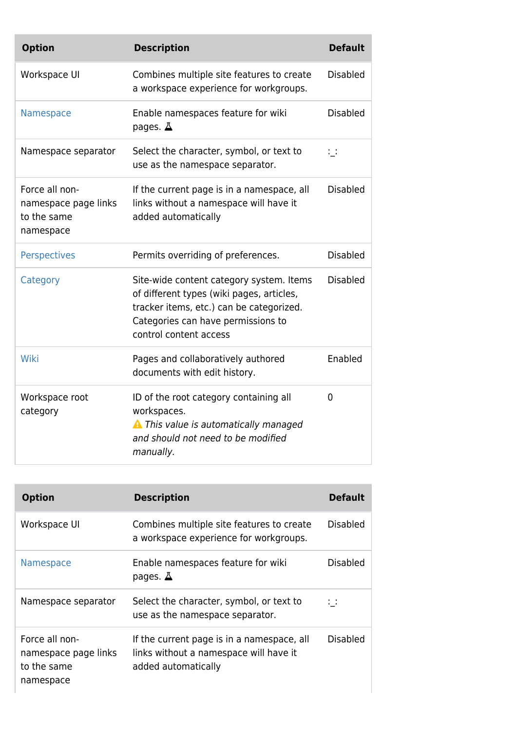| <b>Option</b>                                                      | <b>Description</b>                                                                                                                                                                                | <b>Default</b>       |
|--------------------------------------------------------------------|---------------------------------------------------------------------------------------------------------------------------------------------------------------------------------------------------|----------------------|
| Workspace UI                                                       | Combines multiple site features to create<br>a workspace experience for workgroups.                                                                                                               | <b>Disabled</b>      |
| Namespace                                                          | Enable namespaces feature for wiki<br>pages. $\Delta$                                                                                                                                             | <b>Disabled</b>      |
| Namespace separator                                                | Select the character, symbol, or text to<br>use as the namespace separator.                                                                                                                       | $\ddot{\phantom{0}}$ |
| Force all non-<br>namespace page links<br>to the same<br>namespace | If the current page is in a namespace, all<br>links without a namespace will have it<br>added automatically                                                                                       | <b>Disabled</b>      |
| <b>Perspectives</b>                                                | Permits overriding of preferences.                                                                                                                                                                | <b>Disabled</b>      |
| Category                                                           | Site-wide content category system. Items<br>of different types (wiki pages, articles,<br>tracker items, etc.) can be categorized.<br>Categories can have permissions to<br>control content access | <b>Disabled</b>      |
| Wiki                                                               | Pages and collaboratively authored<br>documents with edit history.                                                                                                                                | Enabled              |
| Workspace root<br>category                                         | ID of the root category containing all<br>workspaces.<br>A This value is automatically managed<br>and should not need to be modified<br>manually.                                                 | 0                    |

| <b>Option</b>                                                      | <b>Description</b>                                                                                          | <b>Default</b> |
|--------------------------------------------------------------------|-------------------------------------------------------------------------------------------------------------|----------------|
| Workspace UI                                                       | Combines multiple site features to create<br>a workspace experience for workgroups.                         | Disabled       |
| <b>Namespace</b>                                                   | Enable namespaces feature for wiki<br>pages. $\Delta$                                                       | Disabled       |
| Namespace separator                                                | Select the character, symbol, or text to<br>use as the namespace separator.                                 |                |
| Force all non-<br>namespace page links<br>to the same<br>namespace | If the current page is in a namespace, all<br>links without a namespace will have it<br>added automatically | Disabled       |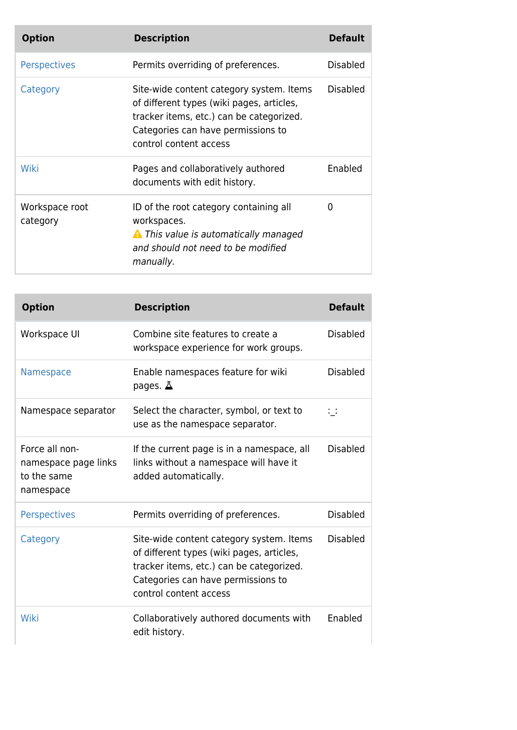| <b>Option</b>              | <b>Description</b>                                                                                                                                                                                | <b>Default</b>  |
|----------------------------|---------------------------------------------------------------------------------------------------------------------------------------------------------------------------------------------------|-----------------|
| <b>Perspectives</b>        | Permits overriding of preferences.                                                                                                                                                                | <b>Disabled</b> |
| Category                   | Site-wide content category system. Items<br>of different types (wiki pages, articles,<br>tracker items, etc.) can be categorized.<br>Categories can have permissions to<br>control content access | Disabled        |
| Wiki                       | Pages and collaboratively authored<br>documents with edit history.                                                                                                                                | Enabled         |
| Workspace root<br>category | ID of the root category containing all<br>workspaces.<br><b>A</b> This value is automatically managed<br>and should not need to be modified<br>manually.                                          | 0               |

| <b>Option</b>                                                      | <b>Description</b>                                                                                                                                                                                | <b>Default</b>  |
|--------------------------------------------------------------------|---------------------------------------------------------------------------------------------------------------------------------------------------------------------------------------------------|-----------------|
| Workspace UI                                                       | Combine site features to create a<br>workspace experience for work groups.                                                                                                                        | <b>Disabled</b> |
| <b>Namespace</b>                                                   | Enable namespaces feature for wiki<br>pages. $\Delta$                                                                                                                                             | <b>Disabled</b> |
| Namespace separator                                                | Select the character, symbol, or text to<br>use as the namespace separator.                                                                                                                       | $\sim$ $\sim$   |
| Force all non-<br>namespace page links<br>to the same<br>namespace | If the current page is in a namespace, all<br>links without a namespace will have it<br>added automatically.                                                                                      | <b>Disabled</b> |
| <b>Perspectives</b>                                                | Permits overriding of preferences.                                                                                                                                                                | <b>Disabled</b> |
| Category                                                           | Site-wide content category system. Items<br>of different types (wiki pages, articles,<br>tracker items, etc.) can be categorized.<br>Categories can have permissions to<br>control content access | <b>Disabled</b> |
| Wiki                                                               | Collaboratively authored documents with<br>edit history.                                                                                                                                          | Enabled         |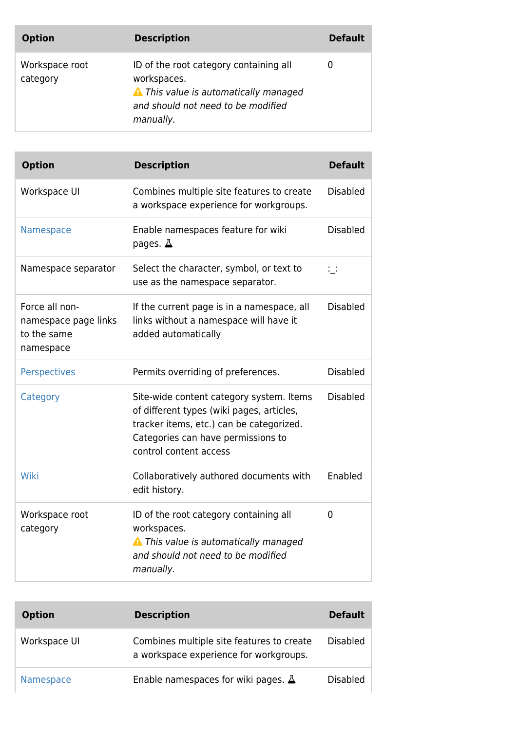| <b>Option</b>              | <b>Description</b>                                                                                                                                       | <b>Default</b> |
|----------------------------|----------------------------------------------------------------------------------------------------------------------------------------------------------|----------------|
| Workspace root<br>category | ID of the root category containing all<br>workspaces.<br><b>A</b> This value is automatically managed<br>and should not need to be modified<br>manually. | 0              |

| <b>Option</b>                                                      | <b>Description</b>                                                                                                                                                                                | <b>Default</b>  |
|--------------------------------------------------------------------|---------------------------------------------------------------------------------------------------------------------------------------------------------------------------------------------------|-----------------|
| Workspace UI                                                       | Combines multiple site features to create<br>a workspace experience for workgroups.                                                                                                               | <b>Disabled</b> |
| Namespace                                                          | Enable namespaces feature for wiki<br>pages. $\Delta$                                                                                                                                             | <b>Disabled</b> |
| Namespace separator                                                | Select the character, symbol, or text to<br>use as the namespace separator.                                                                                                                       | $\mathbb{R}^2$  |
| Force all non-<br>namespace page links<br>to the same<br>namespace | If the current page is in a namespace, all<br>links without a namespace will have it<br>added automatically                                                                                       | <b>Disabled</b> |
| <b>Perspectives</b>                                                | Permits overriding of preferences.                                                                                                                                                                | <b>Disabled</b> |
| Category                                                           | Site-wide content category system. Items<br>of different types (wiki pages, articles,<br>tracker items, etc.) can be categorized.<br>Categories can have permissions to<br>control content access | <b>Disabled</b> |
| Wiki                                                               | Collaboratively authored documents with<br>edit history.                                                                                                                                          | Enabled         |
| Workspace root<br>category                                         | ID of the root category containing all<br>workspaces.<br><b>A</b> This value is automatically managed<br>and should not need to be modified<br>manually.                                          | 0               |

| <b>Option</b> | <b>Description</b>                                                                  | <b>Default</b>  |
|---------------|-------------------------------------------------------------------------------------|-----------------|
| Workspace UI  | Combines multiple site features to create<br>a workspace experience for workgroups. | <b>Disabled</b> |
| Namespace     | Enable namespaces for wiki pages. $\Delta$                                          | Disabled        |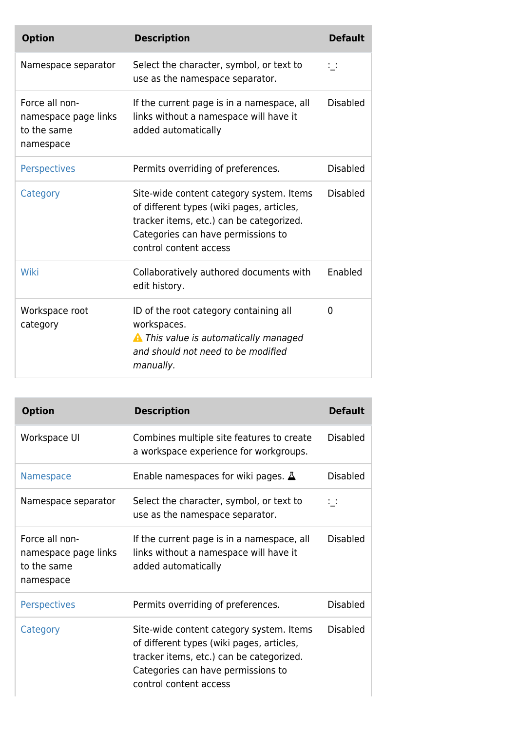| <b>Option</b>                                                      | <b>Description</b>                                                                                                                                                                                | <b>Default</b>  |
|--------------------------------------------------------------------|---------------------------------------------------------------------------------------------------------------------------------------------------------------------------------------------------|-----------------|
| Namespace separator                                                | Select the character, symbol, or text to<br>use as the namespace separator.                                                                                                                       | $\mathbf{1}$    |
| Force all non-<br>namespace page links<br>to the same<br>namespace | If the current page is in a namespace, all<br>links without a namespace will have it<br>added automatically                                                                                       | <b>Disabled</b> |
| <b>Perspectives</b>                                                | Permits overriding of preferences.                                                                                                                                                                | <b>Disabled</b> |
| Category                                                           | Site-wide content category system. Items<br>of different types (wiki pages, articles,<br>tracker items, etc.) can be categorized.<br>Categories can have permissions to<br>control content access | <b>Disabled</b> |
| Wiki                                                               | Collaboratively authored documents with<br>edit history.                                                                                                                                          | Enabled         |
| Workspace root<br>category                                         | ID of the root category containing all<br>workspaces.<br><b>A</b> This value is automatically managed<br>and should not need to be modified<br>manually.                                          | 0               |

| <b>Option</b>                                                      | <b>Description</b>                                                                                                                                                                                | <b>Default</b>  |
|--------------------------------------------------------------------|---------------------------------------------------------------------------------------------------------------------------------------------------------------------------------------------------|-----------------|
| Workspace UI                                                       | Combines multiple site features to create<br>a workspace experience for workgroups.                                                                                                               | <b>Disabled</b> |
| <b>Namespace</b>                                                   | Enable namespaces for wiki pages. $\Delta$                                                                                                                                                        | <b>Disabled</b> |
| Namespace separator                                                | Select the character, symbol, or text to<br>use as the namespace separator.                                                                                                                       | $\mathbb{R}^n$  |
| Force all non-<br>namespace page links<br>to the same<br>namespace | If the current page is in a namespace, all<br>links without a namespace will have it<br>added automatically                                                                                       | Disabled        |
| <b>Perspectives</b>                                                | Permits overriding of preferences.                                                                                                                                                                | <b>Disabled</b> |
| Category                                                           | Site-wide content category system. Items<br>of different types (wiki pages, articles,<br>tracker items, etc.) can be categorized.<br>Categories can have permissions to<br>control content access | <b>Disabled</b> |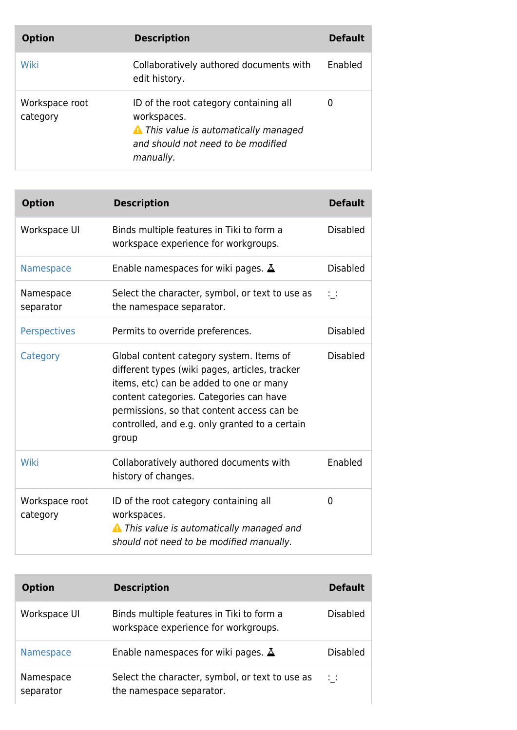| <b>Option</b>              | <b>Description</b>                                                                                                                                       | <b>Default</b> |
|----------------------------|----------------------------------------------------------------------------------------------------------------------------------------------------------|----------------|
| Wiki                       | Collaboratively authored documents with<br>edit history.                                                                                                 | Enabled        |
| Workspace root<br>category | ID of the root category containing all<br>workspaces.<br><b>A</b> This value is automatically managed<br>and should not need to be modified<br>manually. | 0              |

| <b>Option</b>              | <b>Description</b>                                                                                                                                                                                                                                                                        | <b>Default</b>  |
|----------------------------|-------------------------------------------------------------------------------------------------------------------------------------------------------------------------------------------------------------------------------------------------------------------------------------------|-----------------|
| Workspace UI               | Binds multiple features in Tiki to form a<br>workspace experience for workgroups.                                                                                                                                                                                                         | <b>Disabled</b> |
| Namespace                  | Enable namespaces for wiki pages. $\Delta$                                                                                                                                                                                                                                                | <b>Disabled</b> |
| Namespace<br>separator     | Select the character, symbol, or text to use as<br>the namespace separator.                                                                                                                                                                                                               | $\mathcal{L}$   |
| <b>Perspectives</b>        | Permits to override preferences.                                                                                                                                                                                                                                                          | <b>Disabled</b> |
| Category                   | Global content category system. Items of<br>different types (wiki pages, articles, tracker<br>items, etc) can be added to one or many<br>content categories. Categories can have<br>permissions, so that content access can be<br>controlled, and e.g. only granted to a certain<br>group | <b>Disabled</b> |
| Wiki                       | Collaboratively authored documents with<br>history of changes.                                                                                                                                                                                                                            | Enabled         |
| Workspace root<br>category | ID of the root category containing all<br>workspaces.<br><b>A</b> This value is automatically managed and<br>should not need to be modified manually.                                                                                                                                     | 0               |

| <b>Option</b>          | <b>Description</b>                                                                | <b>Default</b> |
|------------------------|-----------------------------------------------------------------------------------|----------------|
| Workspace UI           | Binds multiple features in Tiki to form a<br>workspace experience for workgroups. | Disabled       |
| <b>Namespace</b>       | Enable namespaces for wiki pages. $\Delta$                                        | Disabled       |
| Namespace<br>separator | Select the character, symbol, or text to use as<br>the namespace separator.       | $\mathcal{L}$  |